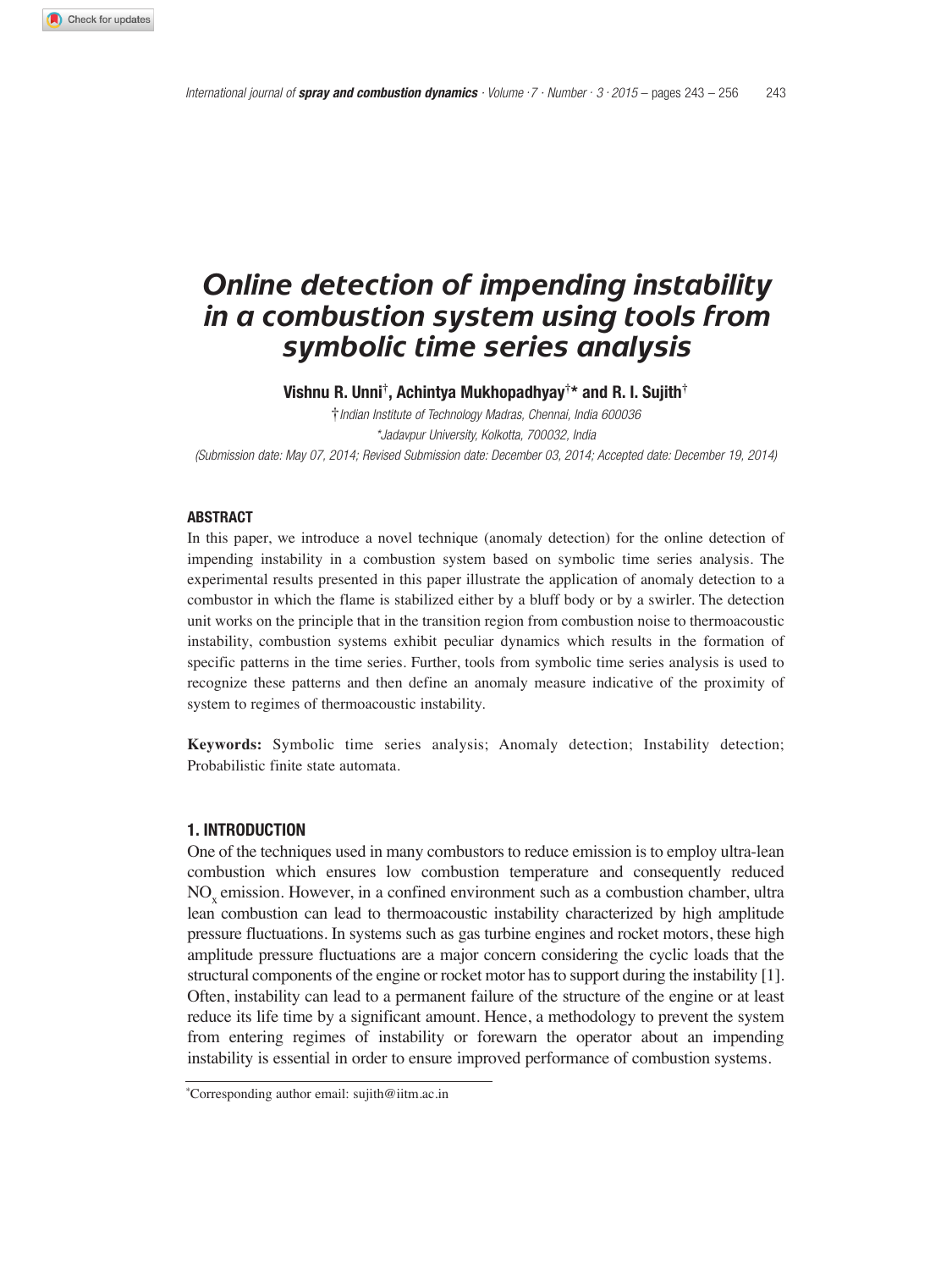# *Online detection of impending instability in a combustion system using tools from symbolic time series analysis*

**Vishnu R. Unni†, Achintya Mukhopadhyay†\* and R. I. Sujith†**

†Indian Institute of Technology Madras, Chennai, India 600036 \*Jadavpur University, Kolkotta, 700032, India (Submission date: May 07, 2014; Revised Submission date: December 03, 2014; Accepted date: December 19, 2014)

#### **ABSTRACT**

In this paper, we introduce a novel technique (anomaly detection) for the online detection of impending instability in a combustion system based on symbolic time series analysis. The experimental results presented in this paper illustrate the application of anomaly detection to a combustor in which the flame is stabilized either by a bluff body or by a swirler. The detection unit works on the principle that in the transition region from combustion noise to thermoacoustic instability, combustion systems exhibit peculiar dynamics which results in the formation of specific patterns in the time series. Further, tools from symbolic time series analysis is used to recognize these patterns and then define an anomaly measure indicative of the proximity of system to regimes of thermoacoustic instability.

**Keywords:** Symbolic time series analysis; Anomaly detection; Instability detection; Probabilistic finite state automata.

#### **1. INTRODUCTION**

One of the techniques used in many combustors to reduce emission is to employ ultra-lean combustion which ensures low combustion temperature and consequently reduced NO<sub>x</sub> emission. However, in a confined environment such as a combustion chamber, ultra lean combustion can lead to thermoacoustic instability characterized by high amplitude pressure fluctuations. In systems such as gas turbine engines and rocket motors, these high amplitude pressure fluctuations are a major concern considering the cyclic loads that the structural components of the engine or rocket motor has to support during the instability [1]. Often, instability can lead to a permanent failure of the structure of the engine or at least reduce its life time by a significant amount. Hence, a methodology to prevent the system from entering regimes of instability or forewarn the operator about an impending instability is essential in order to ensure improved performance of combustion systems.

*<sup>\*</sup>*Corresponding author email: sujith@iitm.ac.in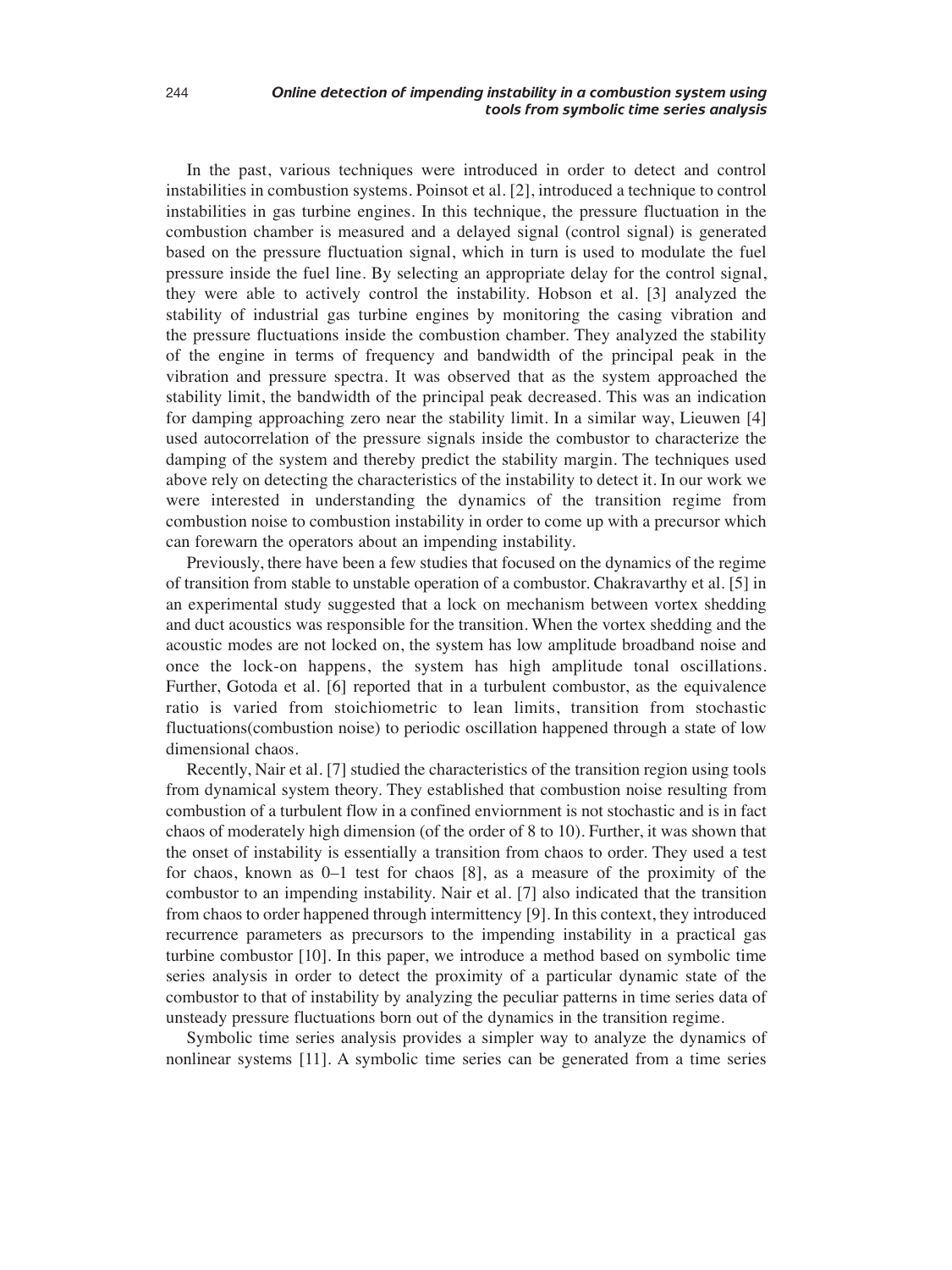In the past, various techniques were introduced in order to detect and control instabilities in combustion systems. Poinsot et al. [2], introduced a technique to control instabilities in gas turbine engines. In this technique, the pressure fluctuation in the combustion chamber is measured and a delayed signal (control signal) is generated based on the pressure fluctuation signal, which in turn is used to modulate the fuel pressure inside the fuel line. By selecting an appropriate delay for the control signal, they were able to actively control the instability. Hobson et al. [3] analyzed the stability of industrial gas turbine engines by monitoring the casing vibration and the pressure fluctuations inside the combustion chamber. They analyzed the stability of the engine in terms of frequency and bandwidth of the principal peak in the vibration and pressure spectra. It was observed that as the system approached the stability limit, the bandwidth of the principal peak decreased. This was an indication for damping approaching zero near the stability limit. In a similar way, Lieuwen [4] used autocorrelation of the pressure signals inside the combustor to characterize the damping of the system and thereby predict the stability margin. The techniques used above rely on detecting the characteristics of the instability to detect it. In our work we were interested in understanding the dynamics of the transition regime from combustion noise to combustion instability in order to come up with a precursor which can forewarn the operators about an impending instability.

Previously, there have been a few studies that focused on the dynamics of the regime of transition from stable to unstable operation of a combustor. Chakravarthy et al. [5] in an experimental study suggested that a lock on mechanism between vortex shedding and duct acoustics was responsible for the transition. When the vortex shedding and the acoustic modes are not locked on, the system has low amplitude broadband noise and once the lock-on happens, the system has high amplitude tonal oscillations. Further, Gotoda et al. [6] reported that in a turbulent combustor, as the equivalence ratio is varied from stoichiometric to lean limits, transition from stochastic fluctuations(combustion noise) to periodic oscillation happened through a state of low dimensional chaos.

Recently, Nair et al. [7] studied the characteristics of the transition region using tools from dynamical system theory. They established that combustion noise resulting from combustion of a turbulent flow in a confined enviornment is not stochastic and is in fact chaos of moderately high dimension (of the order of 8 to 10). Further, it was shown that the onset of instability is essentially a transition from chaos to order. They used a test for chaos, known as 0–1 test for chaos [8], as a measure of the proximity of the combustor to an impending instability. Nair et al. [7] also indicated that the transition from chaos to order happened through intermittency [9]. In this context, they introduced recurrence parameters as precursors to the impending instability in a practical gas turbine combustor [10]. In this paper, we introduce a method based on symbolic time series analysis in order to detect the proximity of a particular dynamic state of the combustor to that of instability by analyzing the peculiar patterns in time series data of unsteady pressure fluctuations born out of the dynamics in the transition regime.

Symbolic time series analysis provides a simpler way to analyze the dynamics of nonlinear systems [11]. A symbolic time series can be generated from a time series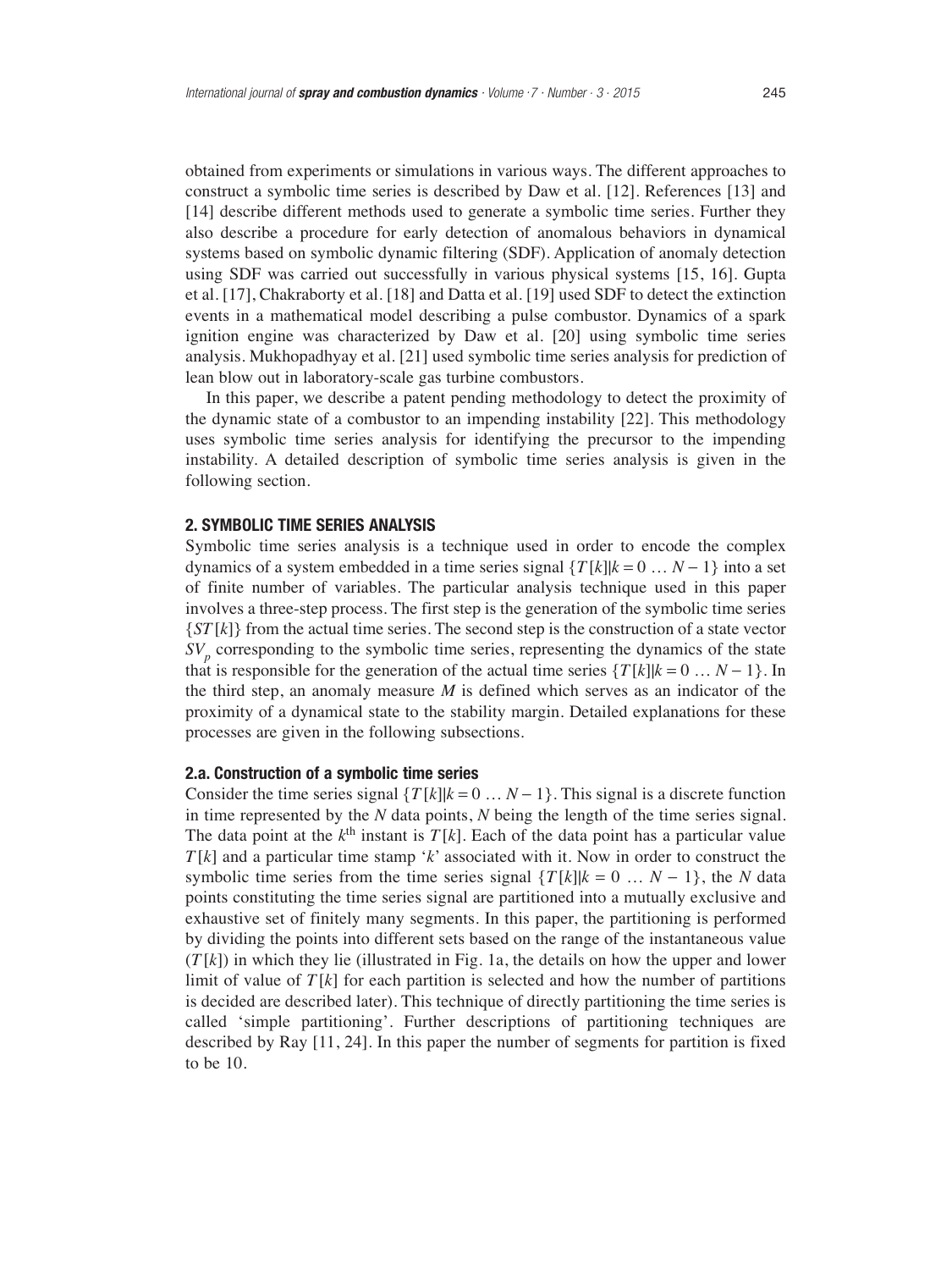obtained from experiments or simulations in various ways. The different approaches to construct a symbolic time series is described by Daw et al. [12]. References [13] and [14] describe different methods used to generate a symbolic time series. Further they also describe a procedure for early detection of anomalous behaviors in dynamical systems based on symbolic dynamic filtering (SDF). Application of anomaly detection using SDF was carried out successfully in various physical systems [15, 16]. Gupta et al. [17], Chakraborty et al. [18] and Datta et al. [19] used SDF to detect the extinction events in a mathematical model describing a pulse combustor. Dynamics of a spark ignition engine was characterized by Daw et al. [20] using symbolic time series analysis. Mukhopadhyay et al. [21] used symbolic time series analysis for prediction of lean blow out in laboratory-scale gas turbine combustors.

In this paper, we describe a patent pending methodology to detect the proximity of the dynamic state of a combustor to an impending instability [22]. This methodology uses symbolic time series analysis for identifying the precursor to the impending instability. A detailed description of symbolic time series analysis is given in the following section.

#### **2. SYMBOLIC TIME SERIES ANALYSIS**

Symbolic time series analysis is a technique used in order to encode the complex dynamics of a system embedded in a time series signal  $\{T[k]|k=0...N-1\}$  into a set of finite number of variables. The particular analysis technique used in this paper involves a three-step process. The first step is the generation of the symbolic time series {*ST* [*k*]} from the actual time series. The second step is the construction of a state vector *SV<sub>p</sub>* corresponding to the symbolic time series, representing the dynamics of the state that is responsible for the generation of the actual time series  $\{T[k]|k=0...N-1\}$ . In the third step, an anomaly measure *M* is defined which serves as an indicator of the proximity of a dynamical state to the stability margin. Detailed explanations for these processes are given in the following subsections.

## **2.a. Construction of a symbolic time series**

Consider the time series signal  $\{T[k] | k = 0 \dots N-1\}$ . This signal is a discrete function in time represented by the *N* data points, *N* being the length of the time series signal. The data point at the  $k<sup>th</sup>$  instant is  $T[k]$ . Each of the data point has a particular value *T* [*k*] and a particular time stamp '*k*' associated with it. Now in order to construct the symbolic time series from the time series signal  $\{T[k] | k = 0 \ldots N - 1\}$ , the *N* data points constituting the time series signal are partitioned into a mutually exclusive and exhaustive set of finitely many segments. In this paper, the partitioning is performed by dividing the points into different sets based on the range of the instantaneous value  $(T[k])$  in which they lie (illustrated in Fig. 1a, the details on how the upper and lower limit of value of  $T[k]$  for each partition is selected and how the number of partitions is decided are described later). This technique of directly partitioning the time series is called 'simple partitioning'. Further descriptions of partitioning techniques are described by Ray [11, 24]. In this paper the number of segments for partition is fixed to be 10.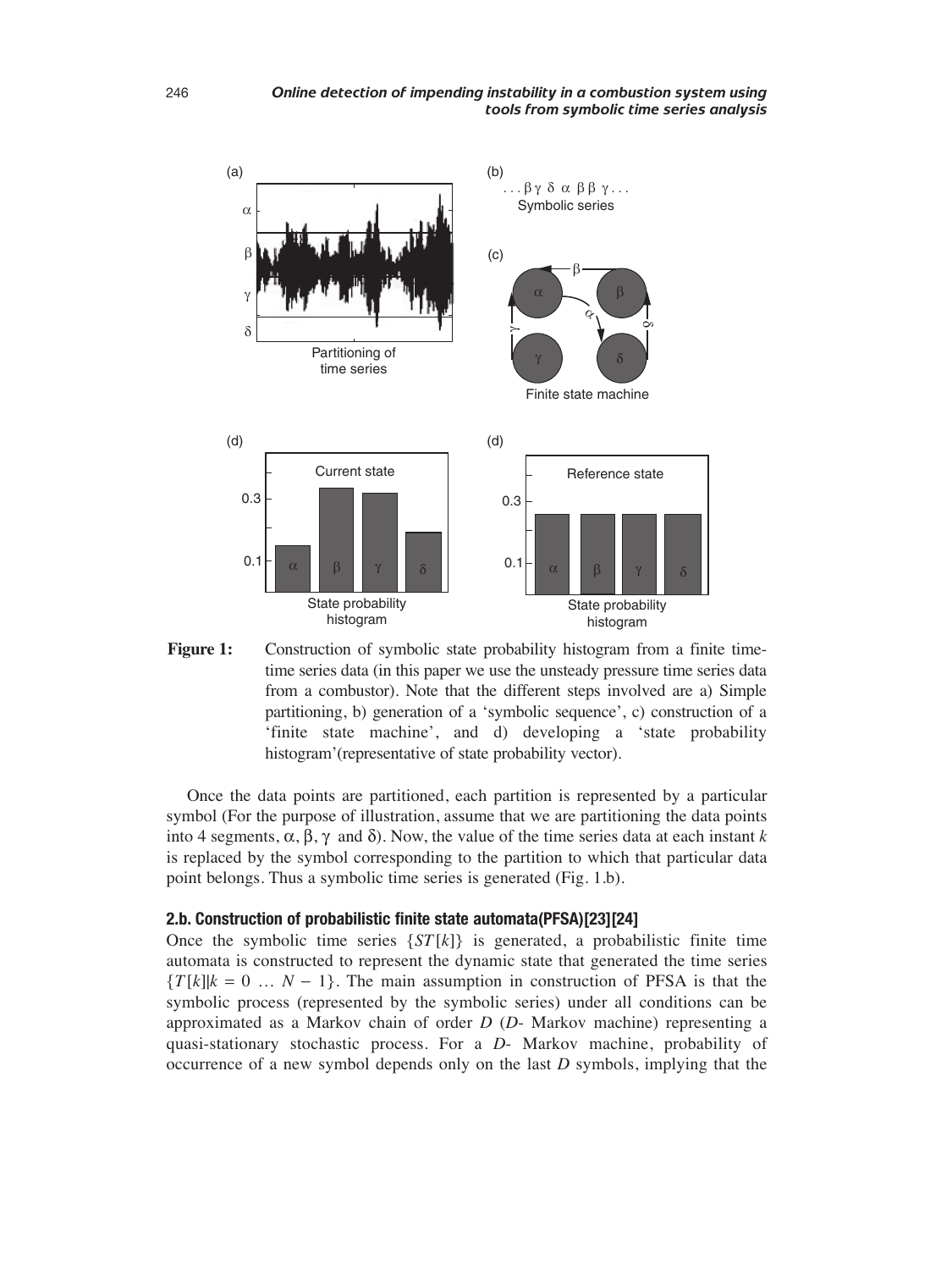



Once the data points are partitioned, each partition is represented by a particular symbol (For the purpose of illustration, assume that we are partitioning the data points into 4 segments, α, β, γ and δ). Now, the value of the time series data at each instant *k* is replaced by the symbol corresponding to the partition to which that particular data point belongs. Thus a symbolic time series is generated (Fig. 1.b).

## **2.b. Construction of probabilistic finite state automata(PFSA)[23][24]**

Once the symbolic time series  $\{ST[k]\}$  is generated, a probabilistic finite time automata is constructed to represent the dynamic state that generated the time series  ${T[k]k = 0 \dots N - 1}$ . The main assumption in construction of PFSA is that the symbolic process (represented by the symbolic series) under all conditions can be approximated as a Markov chain of order *D* (*D*- Markov machine) representing a quasi-stationary stochastic process. For a *D*- Markov machine, probability of occurrence of a new symbol depends only on the last *D* symbols, implying that the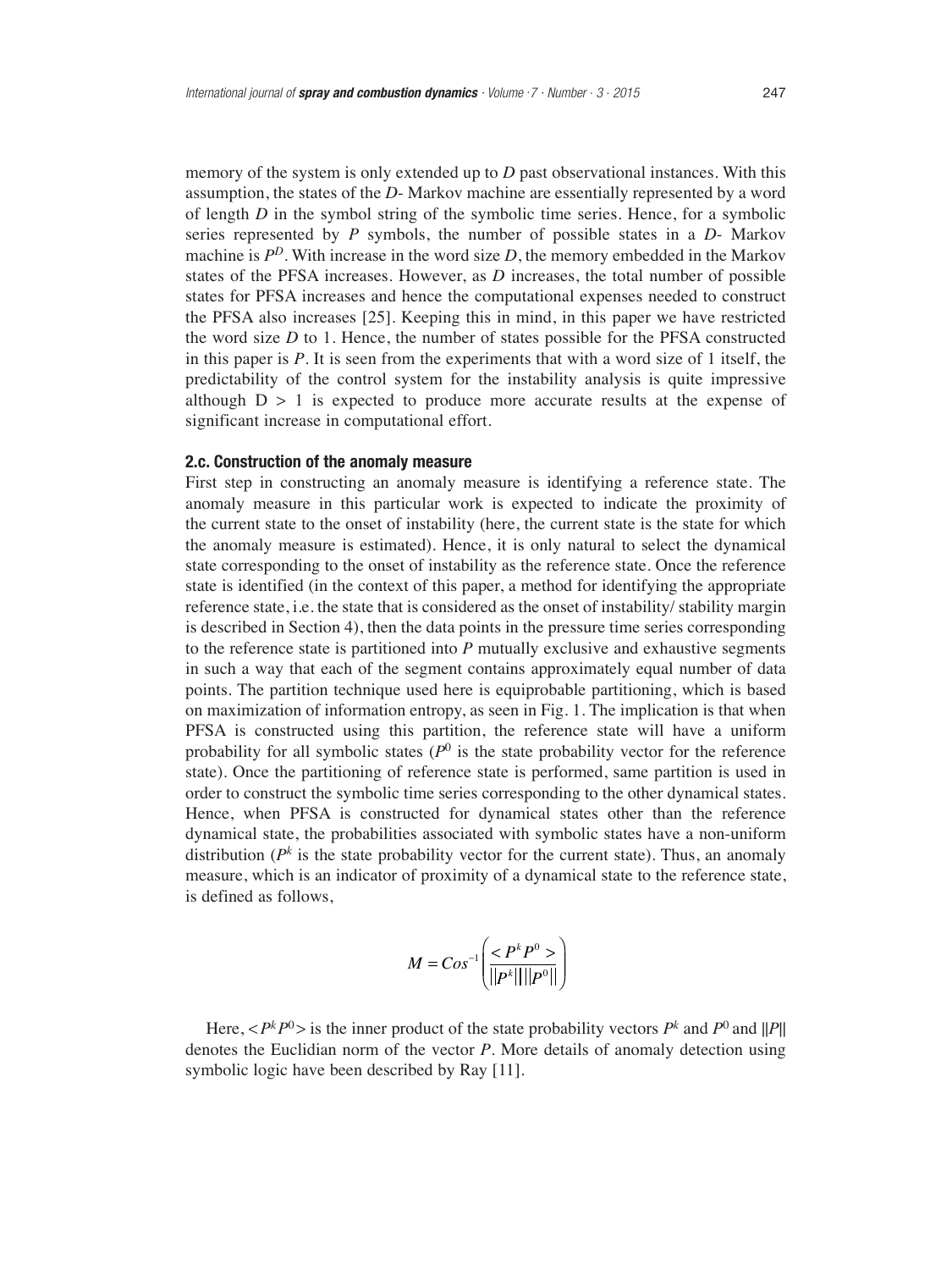memory of the system is only extended up to *D* past observational instances. With this assumption, the states of the *D*- Markov machine are essentially represented by a word of length *D* in the symbol string of the symbolic time series. Hence, for a symbolic series represented by *P* symbols, the number of possible states in a *D*- Markov machine is  $P^D$ . With increase in the word size  $D$ , the memory embedded in the Markov states of the PFSA increases. However, as *D* increases, the total number of possible states for PFSA increases and hence the computational expenses needed to construct the PFSA also increases [25]. Keeping this in mind, in this paper we have restricted the word size *D* to 1. Hence, the number of states possible for the PFSA constructed in this paper is *P*. It is seen from the experiments that with a word size of 1 itself, the predictability of the control system for the instability analysis is quite impressive although  $D > 1$  is expected to produce more accurate results at the expense of significant increase in computational effort.

#### **2.c. Construction of the anomaly measure**

First step in constructing an anomaly measure is identifying a reference state. The anomaly measure in this particular work is expected to indicate the proximity of the current state to the onset of instability (here, the current state is the state for which the anomaly measure is estimated). Hence, it is only natural to select the dynamical state corresponding to the onset of instability as the reference state. Once the reference state is identified (in the context of this paper, a method for identifying the appropriate reference state, i.e. the state that is considered as the onset of instability/ stability margin is described in Section 4), then the data points in the pressure time series corresponding to the reference state is partitioned into *P* mutually exclusive and exhaustive segments in such a way that each of the segment contains approximately equal number of data points. The partition technique used here is equiprobable partitioning, which is based on maximization of information entropy, as seen in Fig. 1. The implication is that when PFSA is constructed using this partition, the reference state will have a uniform probability for all symbolic states  $(P^0)$  is the state probability vector for the reference state). Once the partitioning of reference state is performed, same partition is used in order to construct the symbolic time series corresponding to the other dynamical states. Hence, when PFSA is constructed for dynamical states other than the reference dynamical state, the probabilities associated with symbolic states have a non-uniform distribution  $(P^k)$  is the state probability vector for the current state). Thus, an anomaly measure, which is an indicator of proximity of a dynamical state to the reference state, is defined as follows,

$$
M = Cos^{-1} \left( \frac{P^k P^0 >}{\| P^k \| \| P^0 \|} \right)
$$

Here,  $\langle P^k P^0 \rangle$  is the inner product of the state probability vectors  $P^k$  and  $P^0$  and  $||P||$ denotes the Euclidian norm of the vector *P*. More details of anomaly detection using symbolic logic have been described by Ray [11].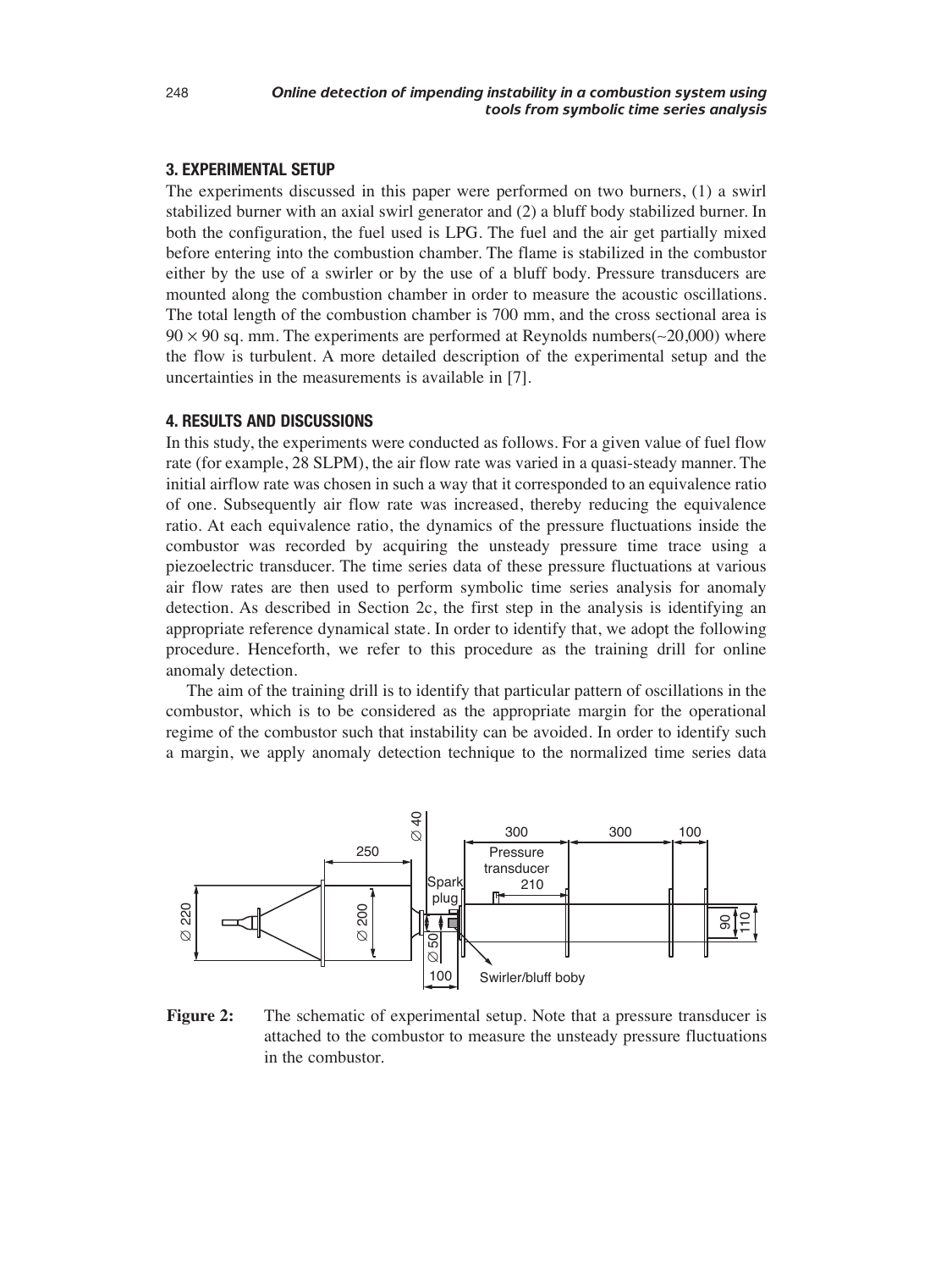# **3. EXPERIMENTAL SETUP**

The experiments discussed in this paper were performed on two burners, (1) a swirl stabilized burner with an axial swirl generator and (2) a bluff body stabilized burner. In both the configuration, the fuel used is LPG. The fuel and the air get partially mixed before entering into the combustion chamber. The flame is stabilized in the combustor either by the use of a swirler or by the use of a bluff body. Pressure transducers are mounted along the combustion chamber in order to measure the acoustic oscillations. The total length of the combustion chamber is 700 mm, and the cross sectional area is 90 × 90 sq. mm. The experiments are performed at Reynolds numbers(∼20,000) where the flow is turbulent. A more detailed description of the experimental setup and the uncertainties in the measurements is available in [7].

# **4. RESULTS AND DISCUSSIONS**

In this study, the experiments were conducted as follows. For a given value of fuel flow rate (for example, 28 SLPM), the air flow rate was varied in a quasi-steady manner. The initial airflow rate was chosen in such a way that it corresponded to an equivalence ratio of one. Subsequently air flow rate was increased, thereby reducing the equivalence ratio. At each equivalence ratio, the dynamics of the pressure fluctuations inside the combustor was recorded by acquiring the unsteady pressure time trace using a piezoelectric transducer. The time series data of these pressure fluctuations at various air flow rates are then used to perform symbolic time series analysis for anomaly detection. As described in Section 2c, the first step in the analysis is identifying an appropriate reference dynamical state. In order to identify that, we adopt the following procedure. Henceforth, we refer to this procedure as the training drill for online anomaly detection.

The aim of the training drill is to identify that particular pattern of oscillations in the combustor, which is to be considered as the appropriate margin for the operational regime of the combustor such that instability can be avoided. In order to identify such a margin, we apply anomaly detection technique to the normalized time series data



**Figure 2:** The schematic of experimental setup. Note that a pressure transducer is attached to the combustor to measure the unsteady pressure fluctuations in the combustor.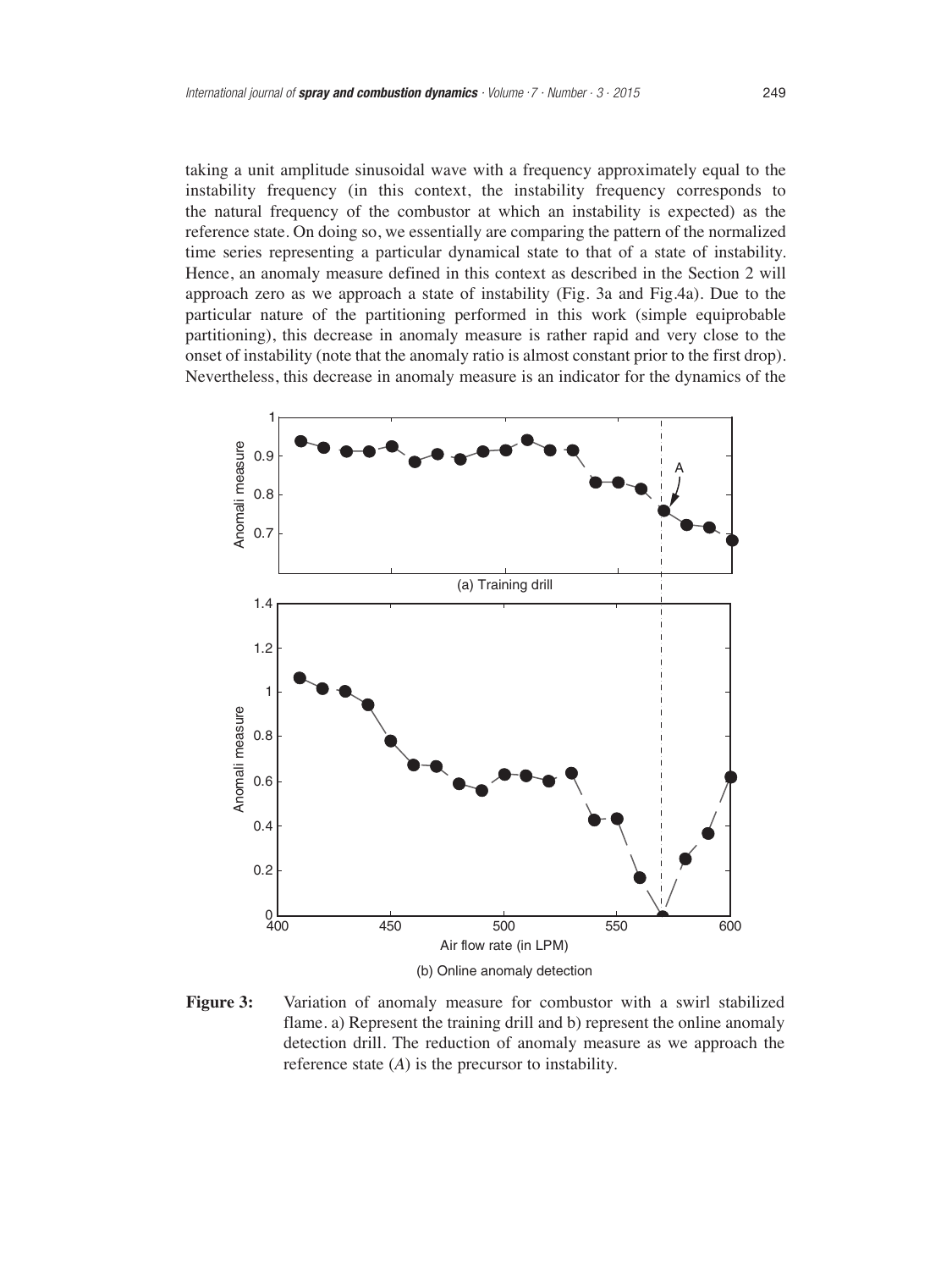taking a unit amplitude sinusoidal wave with a frequency approximately equal to the instability frequency (in this context, the instability frequency corresponds to the natural frequency of the combustor at which an instability is expected) as the reference state. On doing so, we essentially are comparing the pattern of the normalized time series representing a particular dynamical state to that of a state of instability. Hence, an anomaly measure defined in this context as described in the Section 2 will approach zero as we approach a state of instability (Fig. 3a and Fig.4a). Due to the particular nature of the partitioning performed in this work (simple equiprobable partitioning), this decrease in anomaly measure is rather rapid and very close to the onset of instability (note that the anomaly ratio is almost constant prior to the first drop). Nevertheless, this decrease in anomaly measure is an indicator for the dynamics of the



**Figure 3:** Variation of anomaly measure for combustor with a swirl stabilized flame. a) Represent the training drill and b) represent the online anomaly detection drill. The reduction of anomaly measure as we approach the reference state (*A*) is the precursor to instability.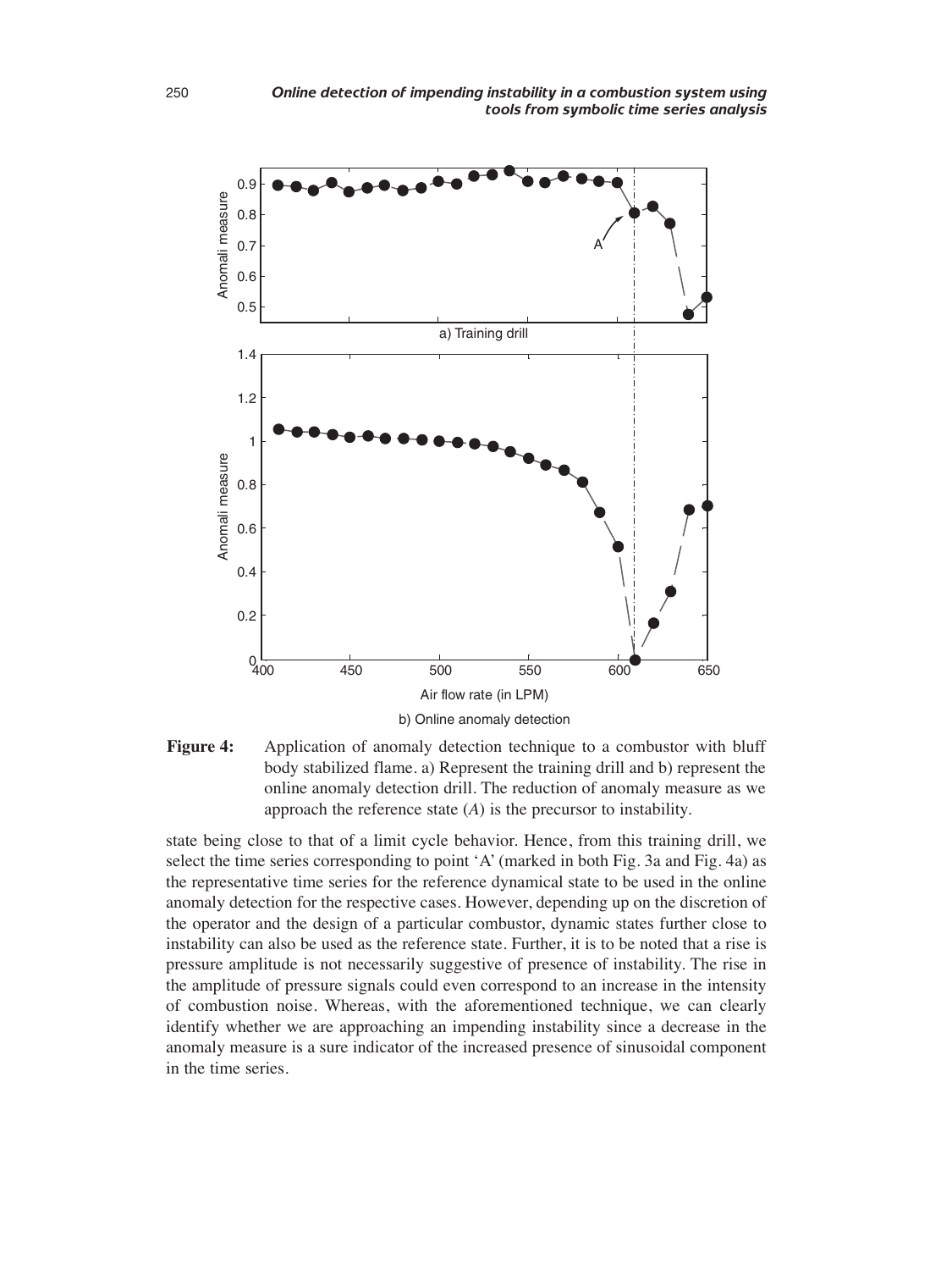



state being close to that of a limit cycle behavior. Hence, from this training drill, we select the time series corresponding to point 'A' (marked in both Fig. 3a and Fig. 4a) as the representative time series for the reference dynamical state to be used in the online anomaly detection for the respective cases. However, depending up on the discretion of the operator and the design of a particular combustor, dynamic states further close to instability can also be used as the reference state. Further, it is to be noted that a rise is pressure amplitude is not necessarily suggestive of presence of instability. The rise in the amplitude of pressure signals could even correspond to an increase in the intensity of combustion noise. Whereas, with the aforementioned technique, we can clearly identify whether we are approaching an impending instability since a decrease in the anomaly measure is a sure indicator of the increased presence of sinusoidal component in the time series.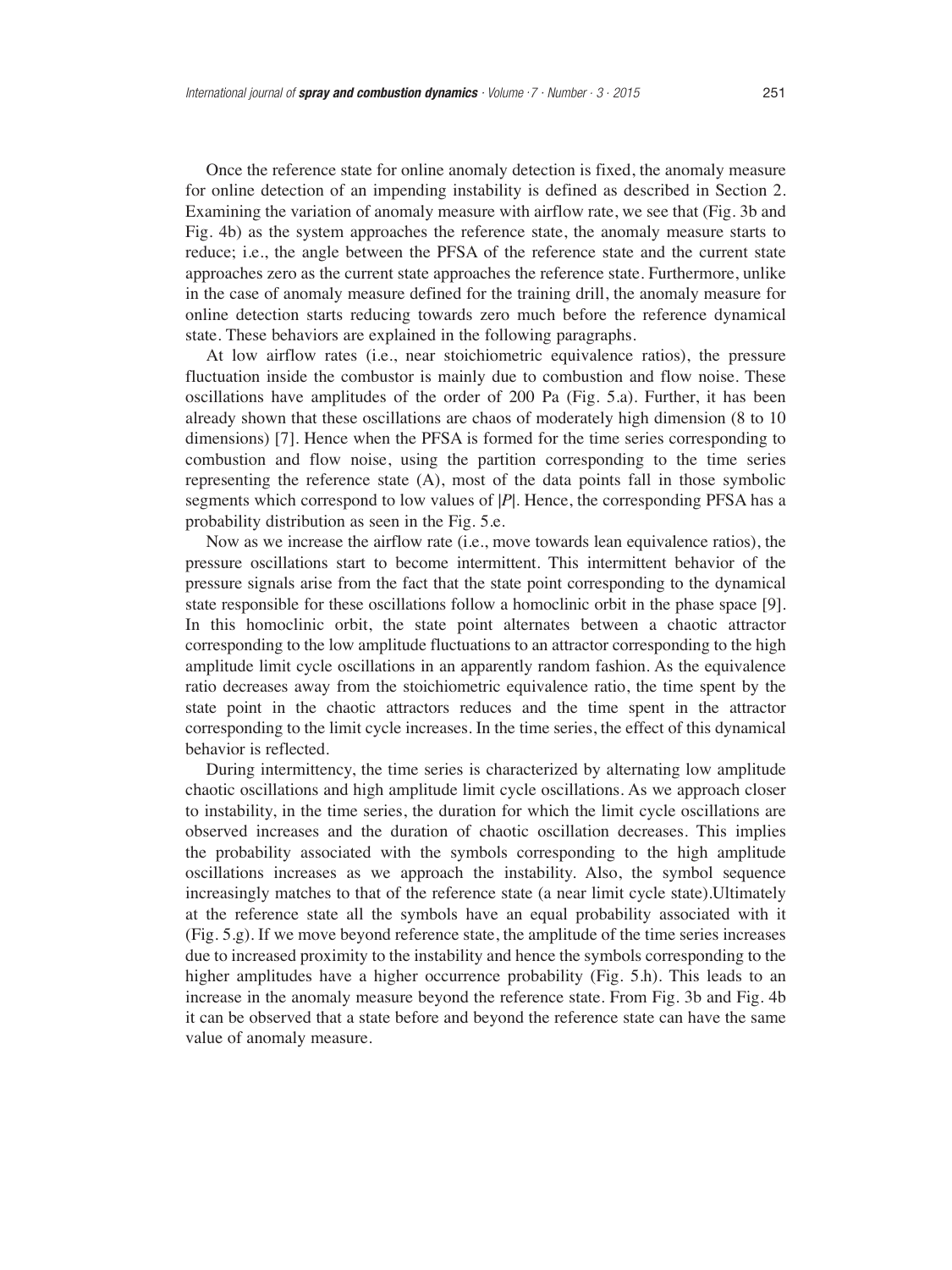Once the reference state for online anomaly detection is fixed, the anomaly measure for online detection of an impending instability is defined as described in Section 2. Examining the variation of anomaly measure with airflow rate, we see that (Fig. 3b and Fig. 4b) as the system approaches the reference state, the anomaly measure starts to reduce; i.e., the angle between the PFSA of the reference state and the current state approaches zero as the current state approaches the reference state. Furthermore, unlike in the case of anomaly measure defined for the training drill, the anomaly measure for online detection starts reducing towards zero much before the reference dynamical state. These behaviors are explained in the following paragraphs.

At low airflow rates (i.e., near stoichiometric equivalence ratios), the pressure fluctuation inside the combustor is mainly due to combustion and flow noise. These oscillations have amplitudes of the order of 200 Pa (Fig. 5.a). Further, it has been already shown that these oscillations are chaos of moderately high dimension (8 to 10 dimensions) [7]. Hence when the PFSA is formed for the time series corresponding to combustion and flow noise, using the partition corresponding to the time series representing the reference state (A), most of the data points fall in those symbolic segments which correspond to low values of |*P*|. Hence, the corresponding PFSA has a probability distribution as seen in the Fig. 5.e.

Now as we increase the airflow rate (i.e., move towards lean equivalence ratios), the pressure oscillations start to become intermittent. This intermittent behavior of the pressure signals arise from the fact that the state point corresponding to the dynamical state responsible for these oscillations follow a homoclinic orbit in the phase space [9]. In this homoclinic orbit, the state point alternates between a chaotic attractor corresponding to the low amplitude fluctuations to an attractor corresponding to the high amplitude limit cycle oscillations in an apparently random fashion. As the equivalence ratio decreases away from the stoichiometric equivalence ratio, the time spent by the state point in the chaotic attractors reduces and the time spent in the attractor corresponding to the limit cycle increases. In the time series, the effect of this dynamical behavior is reflected.

During intermittency, the time series is characterized by alternating low amplitude chaotic oscillations and high amplitude limit cycle oscillations. As we approach closer to instability, in the time series, the duration for which the limit cycle oscillations are observed increases and the duration of chaotic oscillation decreases. This implies the probability associated with the symbols corresponding to the high amplitude oscillations increases as we approach the instability. Also, the symbol sequence increasingly matches to that of the reference state (a near limit cycle state).Ultimately at the reference state all the symbols have an equal probability associated with it (Fig. 5.g). If we move beyond reference state, the amplitude of the time series increases due to increased proximity to the instability and hence the symbols corresponding to the higher amplitudes have a higher occurrence probability (Fig. 5.h). This leads to an increase in the anomaly measure beyond the reference state. From Fig. 3b and Fig. 4b it can be observed that a state before and beyond the reference state can have the same value of anomaly measure.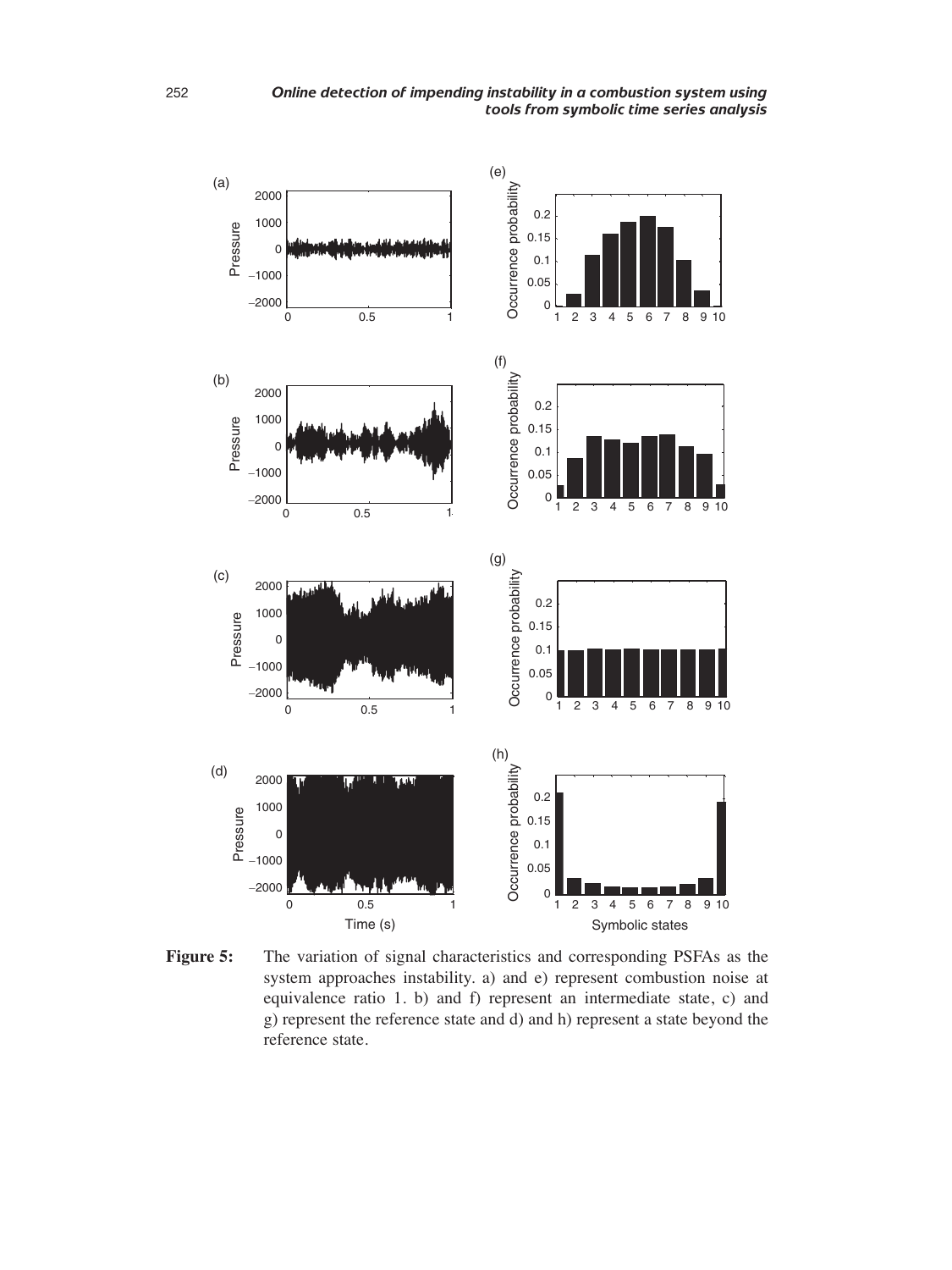

**Figure 5:** The variation of signal characteristics and corresponding PSFAs as the system approaches instability. a) and e) represent combustion noise at equivalence ratio 1. b) and f) represent an intermediate state, c) and g) represent the reference state and d) and h) represent a state beyond the reference state.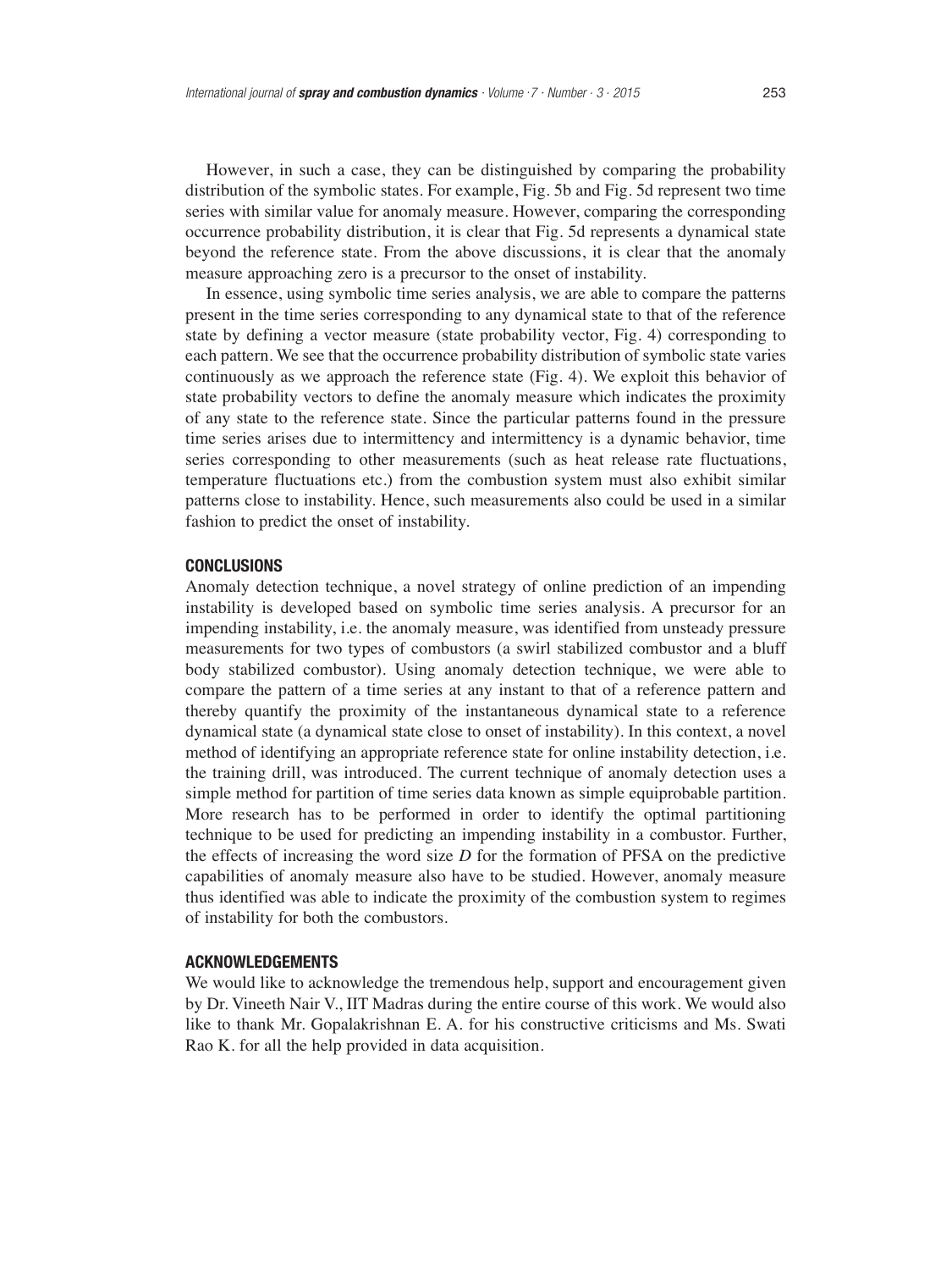However, in such a case, they can be distinguished by comparing the probability distribution of the symbolic states. For example, Fig. 5b and Fig. 5d represent two time series with similar value for anomaly measure. However, comparing the corresponding occurrence probability distribution, it is clear that Fig. 5d represents a dynamical state beyond the reference state. From the above discussions, it is clear that the anomaly measure approaching zero is a precursor to the onset of instability.

In essence, using symbolic time series analysis, we are able to compare the patterns present in the time series corresponding to any dynamical state to that of the reference state by defining a vector measure (state probability vector, Fig. 4) corresponding to each pattern. We see that the occurrence probability distribution of symbolic state varies continuously as we approach the reference state (Fig. 4). We exploit this behavior of state probability vectors to define the anomaly measure which indicates the proximity of any state to the reference state. Since the particular patterns found in the pressure time series arises due to intermittency and intermittency is a dynamic behavior, time series corresponding to other measurements (such as heat release rate fluctuations, temperature fluctuations etc.) from the combustion system must also exhibit similar patterns close to instability. Hence, such measurements also could be used in a similar fashion to predict the onset of instability.

# **CONCLUSIONS**

Anomaly detection technique, a novel strategy of online prediction of an impending instability is developed based on symbolic time series analysis. A precursor for an impending instability, i.e. the anomaly measure, was identified from unsteady pressure measurements for two types of combustors (a swirl stabilized combustor and a bluff body stabilized combustor). Using anomaly detection technique, we were able to compare the pattern of a time series at any instant to that of a reference pattern and thereby quantify the proximity of the instantaneous dynamical state to a reference dynamical state (a dynamical state close to onset of instability). In this context, a novel method of identifying an appropriate reference state for online instability detection, i.e. the training drill, was introduced. The current technique of anomaly detection uses a simple method for partition of time series data known as simple equiprobable partition. More research has to be performed in order to identify the optimal partitioning technique to be used for predicting an impending instability in a combustor. Further, the effects of increasing the word size *D* for the formation of PFSA on the predictive capabilities of anomaly measure also have to be studied. However, anomaly measure thus identified was able to indicate the proximity of the combustion system to regimes of instability for both the combustors.

# **ACKNOWLEDGEMENTS**

We would like to acknowledge the tremendous help, support and encouragement given by Dr. Vineeth Nair V., IIT Madras during the entire course of this work. We would also like to thank Mr. Gopalakrishnan E. A. for his constructive criticisms and Ms. Swati Rao K. for all the help provided in data acquisition.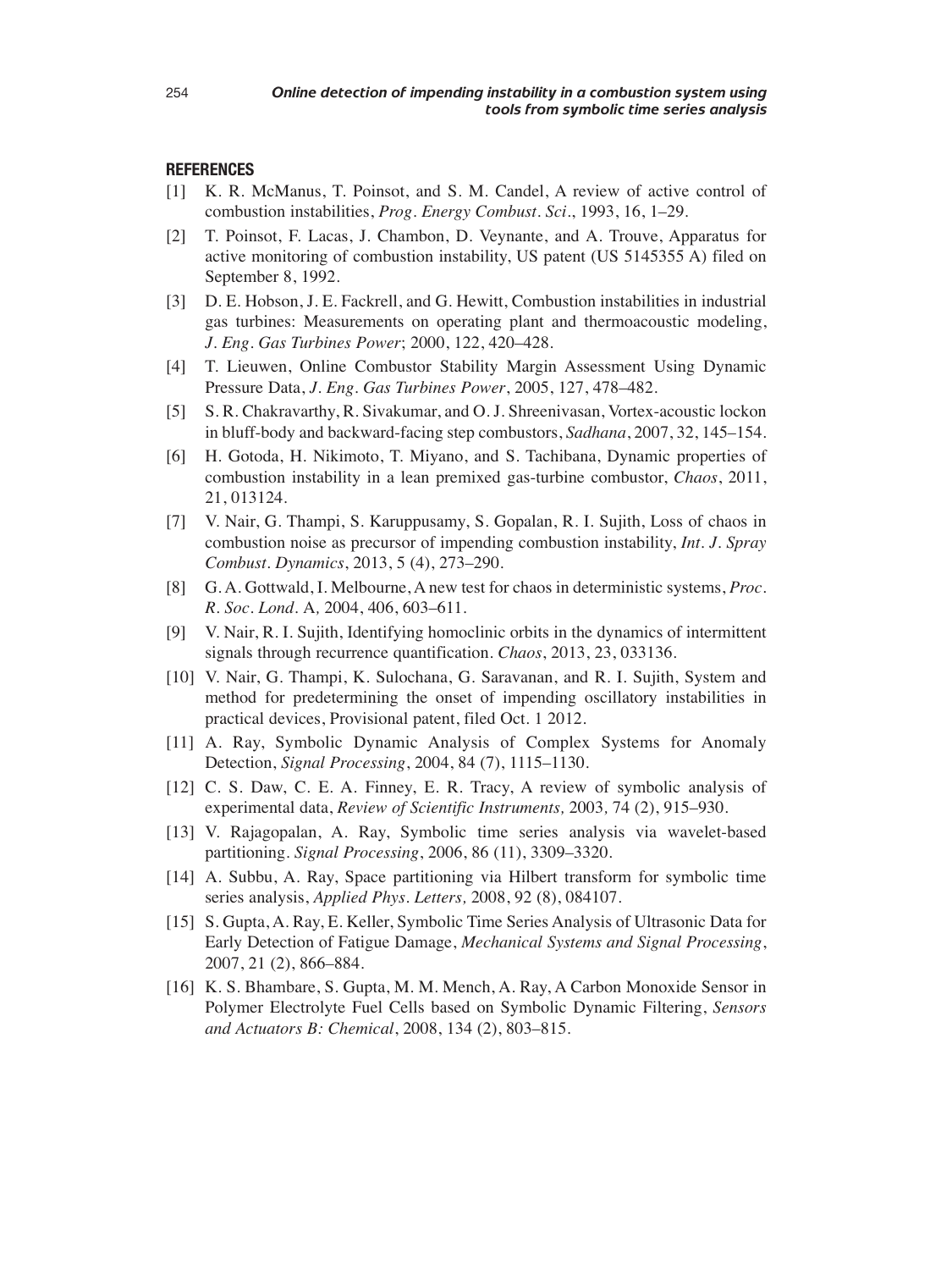## **REFERENCES**

- [1] K. R. McManus, T. Poinsot, and S. M. Candel, A review of active control of combustion instabilities, *Prog. Energy Combust. Sci*., 1993, 16, 1–29.
- [2] T. Poinsot, F. Lacas, J. Chambon, D. Veynante, and A. Trouve, Apparatus for active monitoring of combustion instability, US patent (US 5145355 A) filed on September 8, 1992.
- [3] D. E. Hobson, J. E. Fackrell, and G. Hewitt, Combustion instabilities in industrial gas turbines: Measurements on operating plant and thermoacoustic modeling, *J. Eng. Gas Turbines Power*; 2000, 122, 420–428.
- [4] T. Lieuwen, Online Combustor Stability Margin Assessment Using Dynamic Pressure Data, *J. Eng. Gas Turbines Power*, 2005, 127, 478–482.
- [5] S. R. Chakravarthy, R. Sivakumar, and O. J. Shreenivasan, Vortex-acoustic lockon in bluff-body and backward-facing step combustors, *Sadhana*, 2007, 32, 145–154.
- [6] H. Gotoda, H. Nikimoto, T. Miyano, and S. Tachibana, Dynamic properties of combustion instability in a lean premixed gas-turbine combustor, *Chaos*, 2011, 21, 013124.
- [7] V. Nair, G. Thampi, S. Karuppusamy, S. Gopalan, R. I. Sujith, Loss of chaos in combustion noise as precursor of impending combustion instability, *Int. J. Spray Combust. Dynamics*, 2013, 5 (4), 273–290.
- [8] G. A. Gottwald, I. Melbourne, A new test for chaos in deterministic systems, *Proc. R. Soc. Lond.* A*,* 2004, 406, 603–611.
- [9] V. Nair, R. I. Sujith, Identifying homoclinic orbits in the dynamics of intermittent signals through recurrence quantification. *Chaos*, 2013, 23, 033136.
- [10] V. Nair, G. Thampi, K. Sulochana, G. Saravanan, and R. I. Sujith, System and method for predetermining the onset of impending oscillatory instabilities in practical devices, Provisional patent, filed Oct. 1 2012.
- [11] A. Ray, Symbolic Dynamic Analysis of Complex Systems for Anomaly Detection, *Signal Processing*, 2004, 84 (7), 1115–1130.
- [12] C. S. Daw, C. E. A. Finney, E. R. Tracy, A review of symbolic analysis of experimental data, *Review of Scientific Instruments,* 2003*,* 74 (2), 915–930.
- [13] V. Rajagopalan, A. Ray, Symbolic time series analysis via wavelet-based partitioning. *Signal Processing*, 2006, 86 (11), 3309–3320.
- [14] A. Subbu, A. Ray, Space partitioning via Hilbert transform for symbolic time series analysis, *Applied Phys. Letters,* 2008, 92 (8), 084107.
- [15] S. Gupta, A. Ray, E. Keller, Symbolic Time Series Analysis of Ultrasonic Data for Early Detection of Fatigue Damage, *Mechanical Systems and Signal Processing*, 2007, 21 (2), 866–884.
- [16] K. S. Bhambare, S. Gupta, M. M. Mench, A. Ray, A Carbon Monoxide Sensor in Polymer Electrolyte Fuel Cells based on Symbolic Dynamic Filtering, *Sensors and Actuators B: Chemical*, 2008, 134 (2), 803–815.